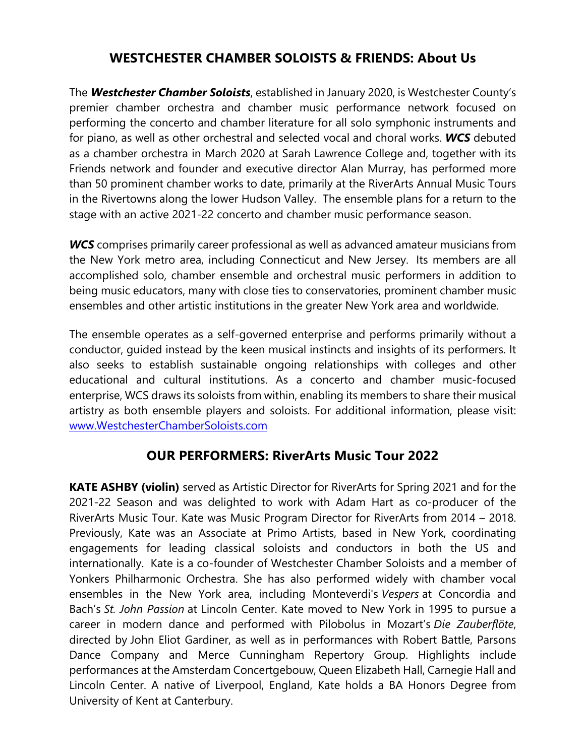## **WESTCHESTER CHAMBER SOLOISTS & FRIENDS: About Us**

The *Westchester Chamber Soloists*, established in January 2020, is Westchester County's premier chamber orchestra and chamber music performance network focused on performing the concerto and chamber literature for all solo symphonic instruments and for piano, as well as other orchestral and selected vocal and choral works. *WCS* debuted as a chamber orchestra in March 2020 at Sarah Lawrence College and, together with its Friends network and founder and executive director Alan Murray, has performed more than 50 prominent chamber works to date, primarily at the RiverArts Annual Music Tours in the Rivertowns along the lower Hudson Valley. The ensemble plans for a return to the stage with an active 2021-22 concerto and chamber music performance season.

*WCS* comprises primarily career professional as well as advanced amateur musicians from the New York metro area, including Connecticut and New Jersey. Its members are all accomplished solo, chamber ensemble and orchestral music performers in addition to being music educators, many with close ties to conservatories, prominent chamber music ensembles and other artistic institutions in the greater New York area and worldwide.

The ensemble operates as a self-governed enterprise and performs primarily without a conductor, guided instead by the keen musical instincts and insights of its performers. It also seeks to establish sustainable ongoing relationships with colleges and other educational and cultural institutions. As a concerto and chamber music-focused enterprise, WCS draws its soloists from within, enabling its members to share their musical artistry as both ensemble players and soloists. For additional information, please visit: www.WestchesterChamberSoloists.com

## **OUR PERFORMERS: RiverArts Music Tour 2022**

**KATE ASHBY (violin)** served as Artistic Director for RiverArts for Spring 2021 and for the 2021-22 Season and was delighted to work with Adam Hart as co-producer of the RiverArts Music Tour. Kate was Music Program Director for RiverArts from 2014 – 2018. Previously, Kate was an Associate at Primo Artists, based in New York, coordinating engagements for leading classical soloists and conductors in both the US and internationally. Kate is a co-founder of Westchester Chamber Soloists and a member of Yonkers Philharmonic Orchestra. She has also performed widely with chamber vocal ensembles in the New York area, including Monteverdi's *Vespers* at Concordia and Bach's *St. John Passion* at Lincoln Center. Kate moved to New York in 1995 to pursue a career in modern dance and performed with Pilobolus in Mozart's *Die Zauberflöte*, directed by John Eliot Gardiner, as well as in performances with Robert Battle, Parsons Dance Company and Merce Cunningham Repertory Group. Highlights include performances at the Amsterdam Concertgebouw, Queen Elizabeth Hall, Carnegie Hall and Lincoln Center. A native of Liverpool, England, Kate holds a BA Honors Degree from University of Kent at Canterbury.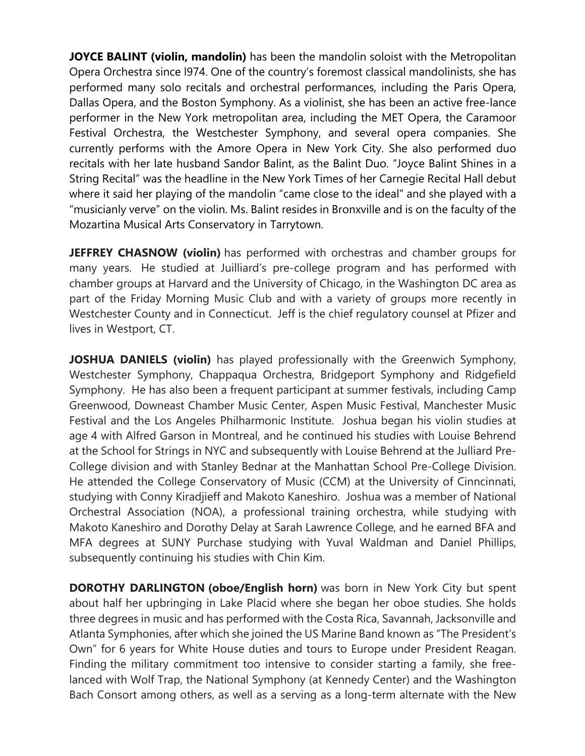**JOYCE BALINT (violin, mandolin)** has been the mandolin soloist with the Metropolitan Opera Orchestra since l974. One of the country's foremost classical mandolinists, she has performed many solo recitals and orchestral performances, including the Paris Opera, Dallas Opera, and the Boston Symphony. As a violinist, she has been an active free-lance performer in the New York metropolitan area, including the MET Opera, the Caramoor Festival Orchestra, the Westchester Symphony, and several opera companies. She currently performs with the Amore Opera in New York City. She also performed duo recitals with her late husband Sandor Balint, as the Balint Duo. "Joyce Balint Shines in a String Recital" was the headline in the New York Times of her Carnegie Recital Hall debut where it said her playing of the mandolin "came close to the ideal" and she played with a "musicianly verve" on the violin. Ms. Balint resides in Bronxville and is on the faculty of the Mozartina Musical Arts Conservatory in Tarrytown.

**JEFFREY CHASNOW (violin)** has performed with orchestras and chamber groups for many years. He studied at Juilliard's pre-college program and has performed with chamber groups at Harvard and the University of Chicago, in the Washington DC area as part of the Friday Morning Music Club and with a variety of groups more recently in Westchester County and in Connecticut. Jeff is the chief regulatory counsel at Pfizer and lives in Westport, CT.

**JOSHUA DANIELS (violin)** has played professionally with the Greenwich Symphony, Westchester Symphony, Chappaqua Orchestra, Bridgeport Symphony and Ridgefield Symphony. He has also been a frequent participant at summer festivals, including Camp Greenwood, Downeast Chamber Music Center, Aspen Music Festival, Manchester Music Festival and the Los Angeles Philharmonic Institute. Joshua began his violin studies at age 4 with Alfred Garson in Montreal, and he continued his studies with Louise Behrend at the School for Strings in NYC and subsequently with Louise Behrend at the Julliard Pre-College division and with Stanley Bednar at the Manhattan School Pre-College Division. He attended the College Conservatory of Music (CCM) at the University of Cinncinnati, studying with Conny Kiradjieff and Makoto Kaneshiro. Joshua was a member of National Orchestral Association (NOA), a professional training orchestra, while studying with Makoto Kaneshiro and Dorothy Delay at Sarah Lawrence College, and he earned BFA and MFA degrees at SUNY Purchase studying with Yuval Waldman and Daniel Phillips, subsequently continuing his studies with Chin Kim.

**DOROTHY DARLINGTON (oboe/English horn)** was born in New York City but spent about half her upbringing in Lake Placid where she began her oboe studies. She holds three degrees in music and has performed with the Costa Rica, Savannah, Jacksonville and Atlanta Symphonies, after which she joined the US Marine Band known as "The President's Own" for 6 years for White House duties and tours to Europe under President Reagan. Finding the military commitment too intensive to consider starting a family, she freelanced with Wolf Trap, the National Symphony (at Kennedy Center) and the Washington Bach Consort among others, as well as a serving as a long-term alternate with the New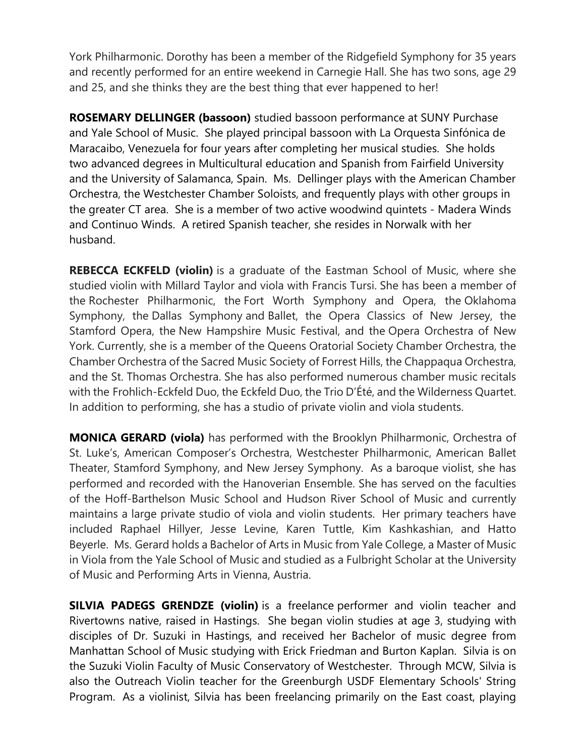York Philharmonic. Dorothy has been a member of the Ridgefield Symphony for 35 years and recently performed for an entire weekend in Carnegie Hall. She has two sons, age 29 and 25, and she thinks they are the best thing that ever happened to her!

**ROSEMARY DELLINGER (bassoon)** studied bassoon performance at SUNY Purchase and Yale School of Music. She played principal bassoon with La Orquesta Sinfónica de Maracaibo, Venezuela for four years after completing her musical studies. She holds two advanced degrees in Multicultural education and Spanish from Fairfield University and the University of Salamanca, Spain. Ms. Dellinger plays with the American Chamber Orchestra, the Westchester Chamber Soloists, and frequently plays with other groups in the greater CT area. She is a member of two active woodwind quintets - Madera Winds and Continuo Winds. A retired Spanish teacher, she resides in Norwalk with her husband.

**REBECCA ECKFELD (violin)** is a graduate of the Eastman School of Music, where she studied violin with Millard Taylor and viola with Francis Tursi. She has been a member of the Rochester Philharmonic, the Fort Worth Symphony and Opera, the Oklahoma Symphony, the Dallas Symphony and Ballet, the Opera Classics of New Jersey, the Stamford Opera, the New Hampshire Music Festival, and the Opera Orchestra of New York. Currently, she is a member of the Queens Oratorial Society Chamber Orchestra, the Chamber Orchestra of the Sacred Music Society of Forrest Hills, the Chappaqua Orchestra, and the St. Thomas Orchestra. She has also performed numerous chamber music recitals with the Frohlich-Eckfeld Duo, the Eckfeld Duo, the Trio D'Été, and the Wilderness Quartet. In addition to performing, she has a studio of private violin and viola students.

**MONICA GERARD (viola)** has performed with the Brooklyn Philharmonic, Orchestra of St. Luke's, American Composer's Orchestra, Westchester Philharmonic, American Ballet Theater, Stamford Symphony, and New Jersey Symphony. As a baroque violist, she has performed and recorded with the Hanoverian Ensemble. She has served on the faculties of the Hoff-Barthelson Music School and Hudson River School of Music and currently maintains a large private studio of viola and violin students. Her primary teachers have included Raphael Hillyer, Jesse Levine, Karen Tuttle, Kim Kashkashian, and Hatto Beyerle. Ms. Gerard holds a Bachelor of Arts in Music from Yale College, a Master of Music in Viola from the Yale School of Music and studied as a Fulbright Scholar at the University of Music and Performing Arts in Vienna, Austria.

**SILVIA PADEGS GRENDZE (violin)** is a freelance performer and violin teacher and Rivertowns native, raised in Hastings. She began violin studies at age 3, studying with disciples of Dr. Suzuki in Hastings, and received her Bachelor of music degree from Manhattan School of Music studying with Erick Friedman and Burton Kaplan. Silvia is on the Suzuki Violin Faculty of Music Conservatory of Westchester. Through MCW, Silvia is also the Outreach Violin teacher for the Greenburgh USDF Elementary Schools' String Program. As a violinist, Silvia has been freelancing primarily on the East coast, playing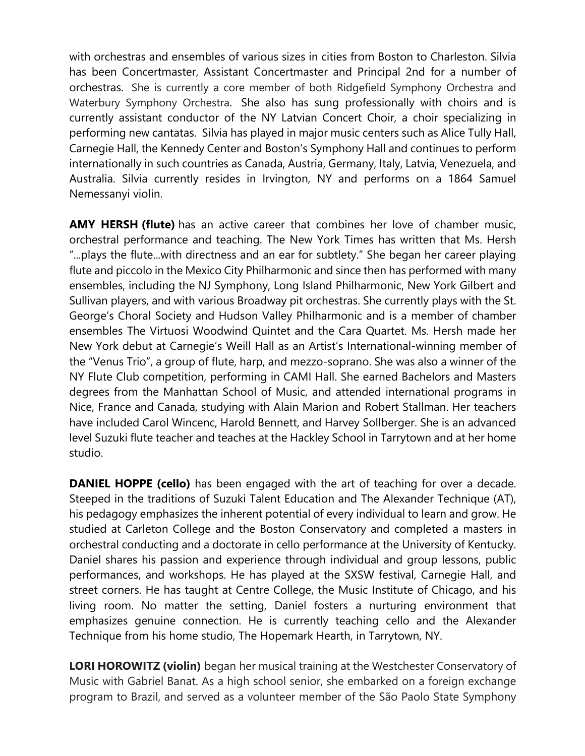with orchestras and ensembles of various sizes in cities from Boston to Charleston. Silvia has been Concertmaster, Assistant Concertmaster and Principal 2nd for a number of orchestras. She is currently a core member of both Ridgefield Symphony Orchestra and Waterbury Symphony Orchestra. She also has sung professionally with choirs and is currently assistant conductor of the NY Latvian Concert Choir, a choir specializing in performing new cantatas. Silvia has played in major music centers such as Alice Tully Hall, Carnegie Hall, the Kennedy Center and Boston's Symphony Hall and continues to perform internationally in such countries as Canada, Austria, Germany, Italy, Latvia, Venezuela, and Australia. Silvia currently resides in Irvington, NY and performs on a 1864 Samuel Nemessanyi violin.

**AMY HERSH (flute)** has an active career that combines her love of chamber music, orchestral performance and teaching. The New York Times has written that Ms. Hersh "...plays the flute...with directness and an ear for subtlety." She began her career playing flute and piccolo in the Mexico City Philharmonic and since then has performed with many ensembles, including the NJ Symphony, Long Island Philharmonic, New York Gilbert and Sullivan players, and with various Broadway pit orchestras. She currently plays with the St. George's Choral Society and Hudson Valley Philharmonic and is a member of chamber ensembles The Virtuosi Woodwind Quintet and the Cara Quartet. Ms. Hersh made her New York debut at Carnegie's Weill Hall as an Artist's International-winning member of the "Venus Trio", a group of flute, harp, and mezzo-soprano. She was also a winner of the NY Flute Club competition, performing in CAMI Hall. She earned Bachelors and Masters degrees from the Manhattan School of Music, and attended international programs in Nice, France and Canada, studying with Alain Marion and Robert Stallman. Her teachers have included Carol Wincenc, Harold Bennett, and Harvey Sollberger. She is an advanced level Suzuki flute teacher and teaches at the Hackley School in Tarrytown and at her home studio.

**DANIEL HOPPE (cello)** has been engaged with the art of teaching for over a decade. Steeped in the traditions of Suzuki Talent Education and The Alexander Technique (AT), his pedagogy emphasizes the inherent potential of every individual to learn and grow. He studied at Carleton College and the Boston Conservatory and completed a masters in orchestral conducting and a doctorate in cello performance at the University of Kentucky. Daniel shares his passion and experience through individual and group lessons, public performances, and workshops. He has played at the SXSW festival, Carnegie Hall, and street corners. He has taught at Centre College, the Music Institute of Chicago, and his living room. No matter the setting, Daniel fosters a nurturing environment that emphasizes genuine connection. He is currently teaching cello and the Alexander Technique from his home studio, The Hopemark Hearth, in Tarrytown, NY.

**LORI HOROWITZ (violin)** began her musical training at the Westchester Conservatory of Music with Gabriel Banat. As a high school senior, she embarked on a foreign exchange program to Brazil, and served as a volunteer member of the São Paolo State Symphony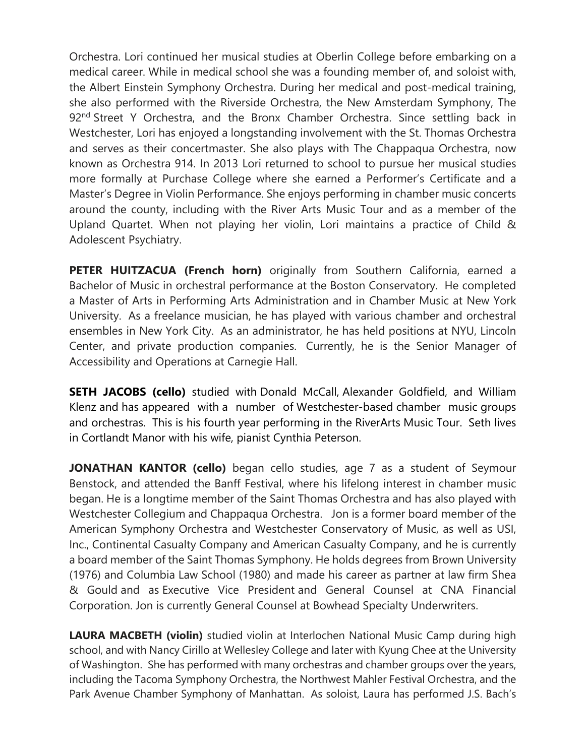Orchestra. Lori continued her musical studies at Oberlin College before embarking on a medical career. While in medical school she was a founding member of, and soloist with, the Albert Einstein Symphony Orchestra. During her medical and post-medical training, she also performed with the Riverside Orchestra, the New Amsterdam Symphony, The 92<sup>nd</sup> Street Y Orchestra, and the Bronx Chamber Orchestra. Since settling back in Westchester, Lori has enjoyed a longstanding involvement with the St. Thomas Orchestra and serves as their concertmaster. She also plays with The Chappaqua Orchestra, now known as Orchestra 914. In 2013 Lori returned to school to pursue her musical studies more formally at Purchase College where she earned a Performer's Certificate and a Master's Degree in Violin Performance. She enjoys performing in chamber music concerts around the county, including with the River Arts Music Tour and as a member of the Upland Quartet. When not playing her violin, Lori maintains a practice of Child & Adolescent Psychiatry.

**PETER HUITZACUA (French horn)** originally from Southern California, earned a Bachelor of Music in orchestral performance at the Boston Conservatory. He completed a Master of Arts in Performing Arts Administration and in Chamber Music at New York University. As a freelance musician, he has played with various chamber and orchestral ensembles in New York City. As an administrator, he has held positions at NYU, Lincoln Center, and private production companies. Currently, he is the Senior Manager of Accessibility and Operations at Carnegie Hall.

**SETH JACOBS (cello)** studied with Donald McCall, Alexander Goldfield, and William Klenz and has appeared with a number of Westchester-based chamber music groups and orchestras. This is his fourth year performing in the RiverArts Music Tour. Seth lives in Cortlandt Manor with his wife, pianist Cynthia Peterson.

**JONATHAN KANTOR (cello)** began cello studies, age 7 as a student of Seymour Benstock, and attended the Banff Festival, where his lifelong interest in chamber music began. He is a longtime member of the Saint Thomas Orchestra and has also played with Westchester Collegium and Chappaqua Orchestra. Jon is a former board member of the American Symphony Orchestra and Westchester Conservatory of Music, as well as USI, Inc., Continental Casualty Company and American Casualty Company, and he is currently a board member of the Saint Thomas Symphony. He holds degrees from Brown University (1976) and Columbia Law School (1980) and made his career as partner at law firm Shea & Gould and as Executive Vice President and General Counsel at CNA Financial Corporation. Jon is currently General Counsel at Bowhead Specialty Underwriters.

**LAURA MACBETH (violin)** studied violin at Interlochen National Music Camp during high school, and with Nancy Cirillo at Wellesley College and later with Kyung Chee at the University of Washington. She has performed with many orchestras and chamber groups over the years, including the Tacoma Symphony Orchestra, the Northwest Mahler Festival Orchestra, and the Park Avenue Chamber Symphony of Manhattan. As soloist, Laura has performed J.S. Bach's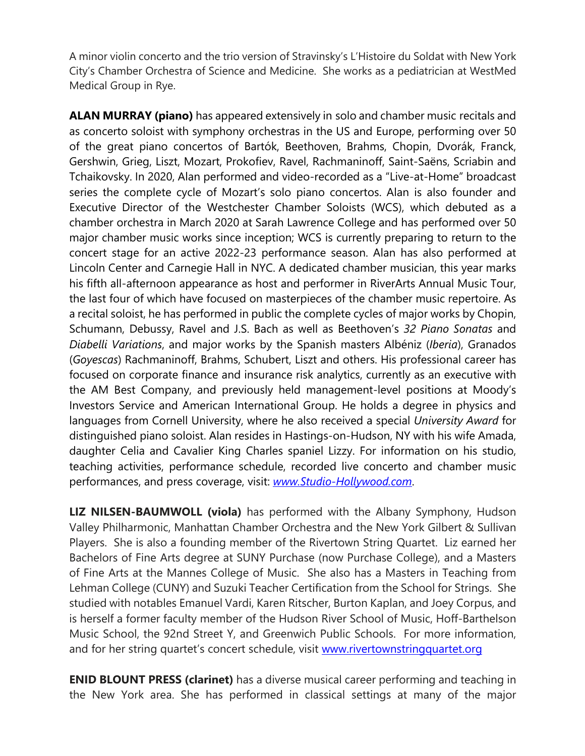A minor violin concerto and the trio version of Stravinsky's L'Histoire du Soldat with New York City's Chamber Orchestra of Science and Medicine. She works as a pediatrician at WestMed Medical Group in Rye.

**ALAN MURRAY (piano)** has appeared extensively in solo and chamber music recitals and as concerto soloist with symphony orchestras in the US and Europe, performing over 50 of the great piano concertos of Bartók, Beethoven, Brahms, Chopin, Dvorák, Franck, Gershwin, Grieg, Liszt, Mozart, Prokofiev, Ravel, Rachmaninoff, Saint-Saëns, Scriabin and Tchaikovsky. In 2020, Alan performed and video-recorded as a "Live-at-Home" broadcast series the complete cycle of Mozart's solo piano concertos. Alan is also founder and Executive Director of the Westchester Chamber Soloists (WCS), which debuted as a chamber orchestra in March 2020 at Sarah Lawrence College and has performed over 50 major chamber music works since inception; WCS is currently preparing to return to the concert stage for an active 2022-23 performance season. Alan has also performed at Lincoln Center and Carnegie Hall in NYC. A dedicated chamber musician, this year marks his fifth all-afternoon appearance as host and performer in RiverArts Annual Music Tour, the last four of which have focused on masterpieces of the chamber music repertoire. As a recital soloist, he has performed in public the complete cycles of major works by Chopin, Schumann, Debussy, Ravel and J.S. Bach as well as Beethoven's *32 Piano Sonatas* and *Diabelli Variations*, and major works by the Spanish masters Albéniz (*Iberia*), Granados (*Goyescas*) Rachmaninoff, Brahms, Schubert, Liszt and others. His professional career has focused on corporate finance and insurance risk analytics, currently as an executive with the AM Best Company, and previously held management-level positions at Moody's Investors Service and American International Group. He holds a degree in physics and languages from Cornell University, where he also received a special *University Award* for distinguished piano soloist. Alan resides in Hastings-on-Hudson, NY with his wife Amada, daughter Celia and Cavalier King Charles spaniel Lizzy. For information on his studio, teaching activities, performance schedule, recorded live concerto and chamber music performances, and press coverage, visit: *www.Studio-Hollywood.com*.

**LIZ NILSEN-BAUMWOLL (viola)** has performed with the Albany Symphony, Hudson Valley Philharmonic, Manhattan Chamber Orchestra and the New York Gilbert & Sullivan Players. She is also a founding member of the Rivertown String Quartet. Liz earned her Bachelors of Fine Arts degree at SUNY Purchase (now Purchase College), and a Masters of Fine Arts at the Mannes College of Music. She also has a Masters in Teaching from Lehman College (CUNY) and Suzuki Teacher Certification from the School for Strings. She studied with notables Emanuel Vardi, Karen Ritscher, Burton Kaplan, and Joey Corpus, and is herself a former faculty member of the Hudson River School of Music, Hoff-Barthelson Music School, the 92nd Street Y, and Greenwich Public Schools. For more information, and for her string quartet's concert schedule, visit www.rivertownstringquartet.org

**ENID BLOUNT PRESS (clarinet)** has a diverse musical career performing and teaching in the New York area. She has performed in classical settings at many of the major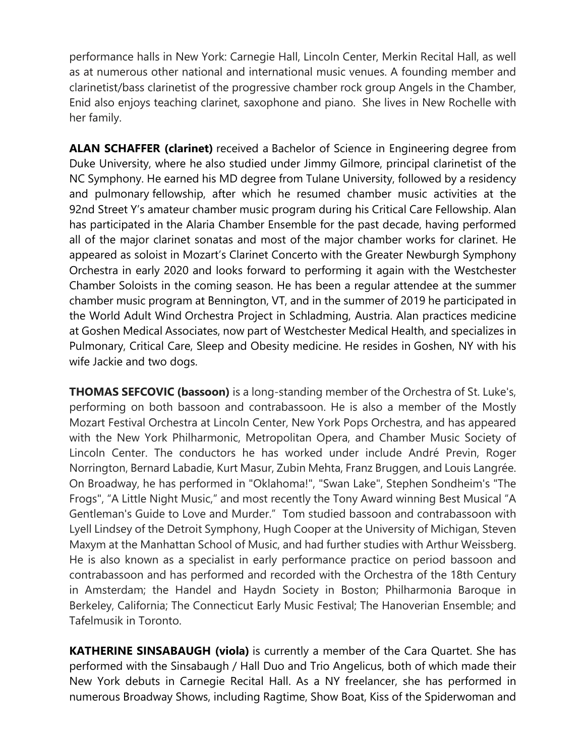performance halls in New York: Carnegie Hall, Lincoln Center, Merkin Recital Hall, as well as at numerous other national and international music venues. A founding member and clarinetist/bass clarinetist of the progressive chamber rock group Angels in the Chamber, Enid also enjoys teaching clarinet, saxophone and piano. She lives in New Rochelle with her family.

**ALAN SCHAFFER (clarinet)** received a Bachelor of Science in Engineering degree from Duke University, where he also studied under Jimmy Gilmore, principal clarinetist of the NC Symphony. He earned his MD degree from Tulane University, followed by a residency and pulmonary fellowship, after which he resumed chamber music activities at the 92nd Street Y's amateur chamber music program during his Critical Care Fellowship. Alan has participated in the Alaria Chamber Ensemble for the past decade, having performed all of the major clarinet sonatas and most of the major chamber works for clarinet. He appeared as soloist in Mozart's Clarinet Concerto with the Greater Newburgh Symphony Orchestra in early 2020 and looks forward to performing it again with the Westchester Chamber Soloists in the coming season. He has been a regular attendee at the summer chamber music program at Bennington, VT, and in the summer of 2019 he participated in the World Adult Wind Orchestra Project in Schladming, Austria. Alan practices medicine at Goshen Medical Associates, now part of Westchester Medical Health, and specializes in Pulmonary, Critical Care, Sleep and Obesity medicine. He resides in Goshen, NY with his wife Jackie and two dogs.

**THOMAS SEFCOVIC (bassoon)** is a long-standing member of the Orchestra of St. Luke's, performing on both bassoon and contrabassoon. He is also a member of the Mostly Mozart Festival Orchestra at Lincoln Center, New York Pops Orchestra, and has appeared with the New York Philharmonic, Metropolitan Opera, and Chamber Music Society of Lincoln Center. The conductors he has worked under include André Previn, Roger Norrington, Bernard Labadie, Kurt Masur, Zubin Mehta, Franz Bruggen, and Louis Langrée. On Broadway, he has performed in "Oklahoma!", "Swan Lake", Stephen Sondheim's "The Frogs", "A Little Night Music," and most recently the Tony Award winning Best Musical "A Gentleman's Guide to Love and Murder." Tom studied bassoon and contrabassoon with Lyell Lindsey of the Detroit Symphony, Hugh Cooper at the University of Michigan, Steven Maxym at the Manhattan School of Music, and had further studies with Arthur Weissberg. He is also known as a specialist in early performance practice on period bassoon and contrabassoon and has performed and recorded with the Orchestra of the 18th Century in Amsterdam; the Handel and Haydn Society in Boston; Philharmonia Baroque in Berkeley, California; The Connecticut Early Music Festival; The Hanoverian Ensemble; and Tafelmusik in Toronto.

**KATHERINE SINSABAUGH (viola)** is currently a member of the Cara Quartet. She has performed with the Sinsabaugh / Hall Duo and Trio Angelicus, both of which made their New York debuts in Carnegie Recital Hall. As a NY freelancer, she has performed in numerous Broadway Shows, including Ragtime, Show Boat, Kiss of the Spiderwoman and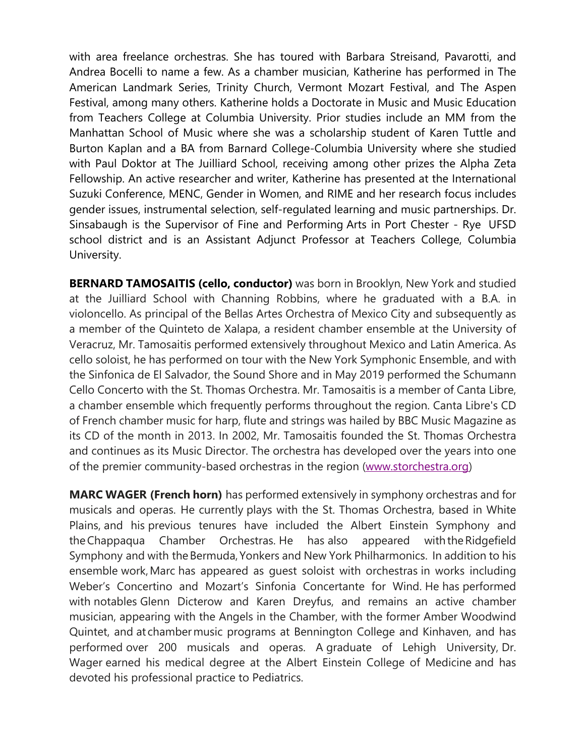with area freelance orchestras. She has toured with Barbara Streisand, Pavarotti, and Andrea Bocelli to name a few. As a chamber musician, Katherine has performed in The American Landmark Series, Trinity Church, Vermont Mozart Festival, and The Aspen Festival, among many others. Katherine holds a Doctorate in Music and Music Education from Teachers College at Columbia University. Prior studies include an MM from the Manhattan School of Music where she was a scholarship student of Karen Tuttle and Burton Kaplan and a BA from Barnard College-Columbia University where she studied with Paul Doktor at The Juilliard School, receiving among other prizes the Alpha Zeta Fellowship. An active researcher and writer, Katherine has presented at the International Suzuki Conference, MENC, Gender in Women, and RIME and her research focus includes gender issues, instrumental selection, self-regulated learning and music partnerships. Dr. Sinsabaugh is the Supervisor of Fine and Performing Arts in Port Chester - Rye UFSD school district and is an Assistant Adjunct Professor at Teachers College, Columbia University.

**BERNARD TAMOSAITIS (cello, conductor)** was born in Brooklyn, New York and studied at the Juilliard School with Channing Robbins, where he graduated with a B.A. in violoncello. As principal of the Bellas Artes Orchestra of Mexico City and subsequently as a member of the Quinteto de Xalapa, a resident chamber ensemble at the University of Veracruz, Mr. Tamosaitis performed extensively throughout Mexico and Latin America. As cello soloist, he has performed on tour with the New York Symphonic Ensemble, and with the Sinfonica de El Salvador, the Sound Shore and in May 2019 performed the Schumann Cello Concerto with the St. Thomas Orchestra. Mr. Tamosaitis is a member of Canta Libre, a chamber ensemble which frequently performs throughout the region. Canta Libre's CD of French chamber music for harp, flute and strings was hailed by BBC Music Magazine as its CD of the month in 2013. In 2002, Mr. Tamosaitis founded the St. Thomas Orchestra and continues as its Music Director. The orchestra has developed over the years into one of the premier community-based orchestras in the region (www.storchestra.org)

**MARC WAGER (French horn)** has performed extensively in symphony orchestras and for musicals and operas.  He currently plays with the St. Thomas Orchestra, based in White Plains, and his previous tenures have included the Albert Einstein Symphony and the Chappaqua Chamber Orchestras. He has also appeared with the Ridgefield Symphony and with the Bermuda, Yonkers and New York Philharmonics.  In addition to his ensemble work, Marc has appeared as guest soloist with orchestras in works including Weber's Concertino and Mozart's Sinfonia Concertante for Wind. He has performed with notables Glenn Dicterow and Karen Dreyfus, and remains an active chamber musician, appearing with the Angels in the Chamber, with the former Amber Woodwind Quintet, and at chamber music programs at Bennington College and Kinhaven, and has performed over 200 musicals and operas. A graduate of Lehigh University, Dr. Wager earned his medical degree at the Albert Einstein College of Medicine and has devoted his professional practice to Pediatrics.